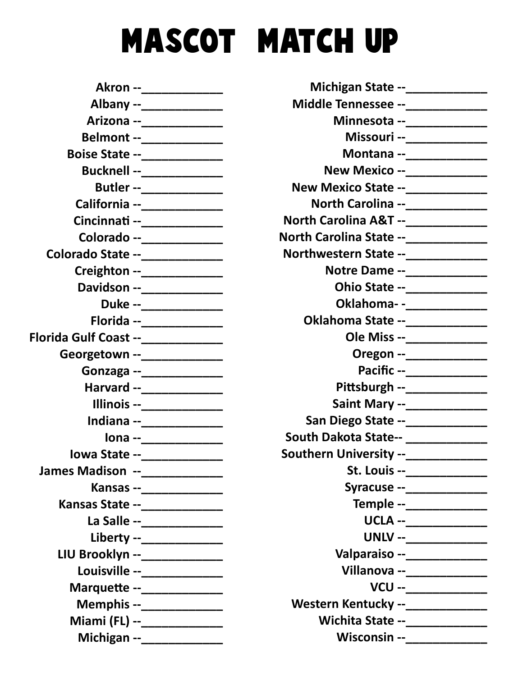## MASCOT MATCH UP

|                                     | Akron --______________              |
|-------------------------------------|-------------------------------------|
|                                     | Albany --_____________              |
|                                     | Arizona --_____________             |
|                                     |                                     |
|                                     | <b>Boise State --______________</b> |
|                                     | Bucknell --_____________            |
|                                     | Butler --_____________              |
|                                     | California --_____________          |
|                                     | Cincinnati --______________         |
|                                     | Colorado --______________           |
| Colorado State --______________     |                                     |
|                                     | Creighton --_______________         |
|                                     | Davidson --_____________            |
|                                     | Duke --_____________                |
|                                     | Florida --_____________             |
| Florida Gulf Coast --______________ |                                     |
| Georgetown --______________         |                                     |
|                                     | Gonzaga --_______________           |
|                                     | Harvard --_____________             |
|                                     | Illinois --___________              |
|                                     | Indiana --_____________             |
|                                     | lona --______________               |
|                                     | lowa State --_____________          |
|                                     |                                     |
|                                     | Kansas --_______________            |
| Kansas State --_______________      |                                     |
|                                     | La Salle --______________           |
|                                     | Liberty --______________            |
| LIU Brooklyn --______________       |                                     |
|                                     |                                     |
|                                     | Marquette --_____________           |
|                                     | Memphis --_______________           |
|                                     | Miami (FL) --______________         |
|                                     | Michigan --_____________            |

| Michigan State --______________           |
|-------------------------------------------|
| Middle Tennessee --______________         |
| Minnesota --_____________                 |
| Missouri --______________                 |
| Montana --______________                  |
| <b>New Mexico --______________</b>        |
| New Mexico State --______________         |
| North Carolina --______________           |
| North Carolina A&T --_____________        |
| North Carolina State --_____________      |
| Northwestern State --____________         |
| Notre Dame --______________               |
| Ohio State --_____________                |
| Oklahoma- -____________                   |
| Oklahoma State --_____________            |
| Ole Miss --______________                 |
| Oregon --_____________                    |
| Pacific --_____________                   |
| Pittsburgh --_______________              |
| Saint Mary --______________               |
| San Diego State --______________          |
| South Dakota State-- _____________        |
| Southern University --_____________       |
| St. Louis --_______________               |
| Syracuse --______________                 |
| Temple --____________                     |
| UCLA --_____________                      |
| UNLV --_____________                      |
| Valparaiso --______________               |
| Villanova --_____________                 |
| VCU --_____________                       |
| <b>Western Kentucky --_______________</b> |
| Wichita State --______________            |
| Wisconsin --______________                |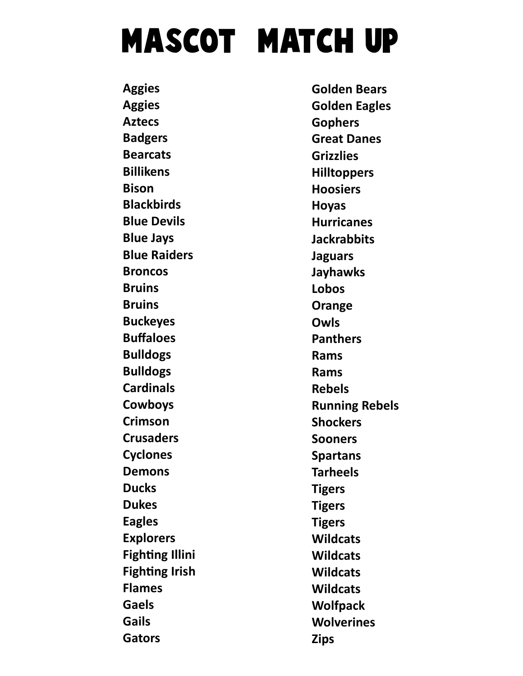## MASCOT MATCH UP

**Aggies Aggies** Aztecs Badgers **Bearcats** Billikens Bison **Blackbirds** Blue Devils Blue Jays Blue Raiders Broncos **Bruins Bruins** Buckeyes Buffaloes Bulldogs Bulldogs **Cardinals** Cowboys Crimson **Crusaders** Cyclones Demons **Ducks** Dukes Eagles Explorers **Fighting Illini Fighting Irish** Flames Gaels Gails Gators

Golden Bears Golden Eagles Gophers Great Danes Grizzlies **Hilltoppers** Hoosiers Hoyas **Hurricanes Jackrabbits** Jaguars Jayhawks Lobos **Orange** Owls **Panthers** Rams Rams Rebels Running Rebels **Shockers** Sooners Spartans Tarheels **Tigers Tigers Tigers Wildcats Wildcats Wildcats Wildcats** Wolfpack **Wolverines** Zips